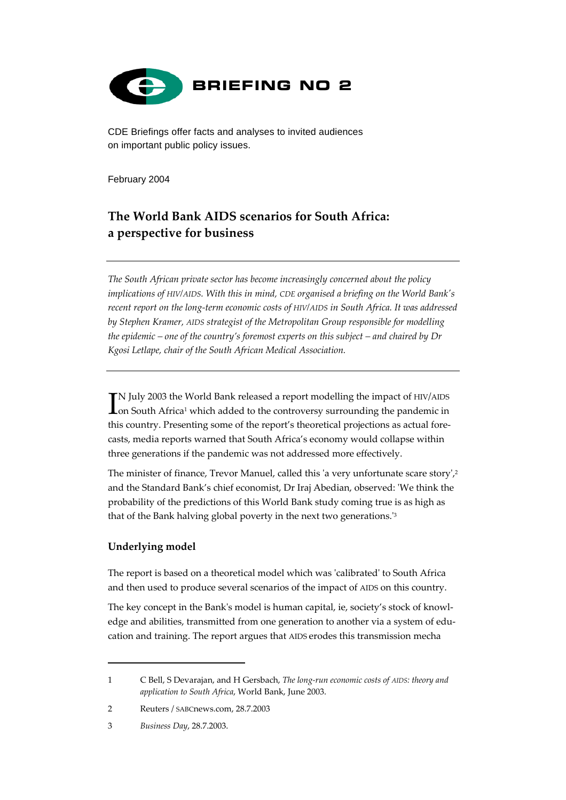

CDE Briefings offer facts and analyses to invited audiences on important public policy issues.

February 2004

# **The World Bank AIDS scenarios for South Africa: a perspective for business**

*The South African private sector has become increasingly concerned about the policy implications of HIV/AIDS. With this in mind, CDE organised a briefing on the World Bank's recent report on the long-term economic costs of HIV/AIDS in South Africa. It was addressed by Stephen Kramer, AIDS strategist of the Metropolitan Group responsible for modelling the epidemic – one of the country's foremost experts on this subject – and chaired by Dr Kgosi Letlape, chair of the South African Medical Association.*

N July 2003 the World Bank released a report modelling the impact of HIV/AIDS IN July 2003 the World Bank released a report modelling the impact of HIV/AIDS<br>Ion South Africa<sup>1</sup> which added to the controversy surrounding the pandemic in this country. Presenting some of the report's theoretical projections as actual forecasts, media reports warned that South Africa's economy would collapse within three generations if the pandemic was not addressed more effectively.

The minister of finance, Trevor Manuel, called this 'a very unfortunate scare story',<sup>[2](#page-0-1)</sup> and the Standard Bank's chief economist, Dr Iraj Abedian, observed: 'We think the probability of the predictions of this World Bank study coming true is as high as that of the Bank halving global poverty in the next two generations.'[3](#page-0-2)

## **Underlying model**

 $\overline{a}$ 

The report is based on a theoretical model which was 'calibrated' to South Africa and then used to produce several scenarios of the impact of AIDS on this country.

The key concept in the Bank's model is human capital, ie, society's stock of knowledge and abilities, transmitted from one generation to another via a system of education and training. The report argues that AIDS erodes this transmission mecha

<span id="page-0-0"></span><sup>1</sup> C Bell, S Devarajan, and H Gersbach, *The long-run economic costs of AIDS: theory and application to South Africa*, World Bank, June 2003.

<span id="page-0-1"></span><sup>2</sup> Reuters / SABCnews.com, 28.7.2003

<span id="page-0-2"></span><sup>3</sup> *Business Day*, 28.7.2003.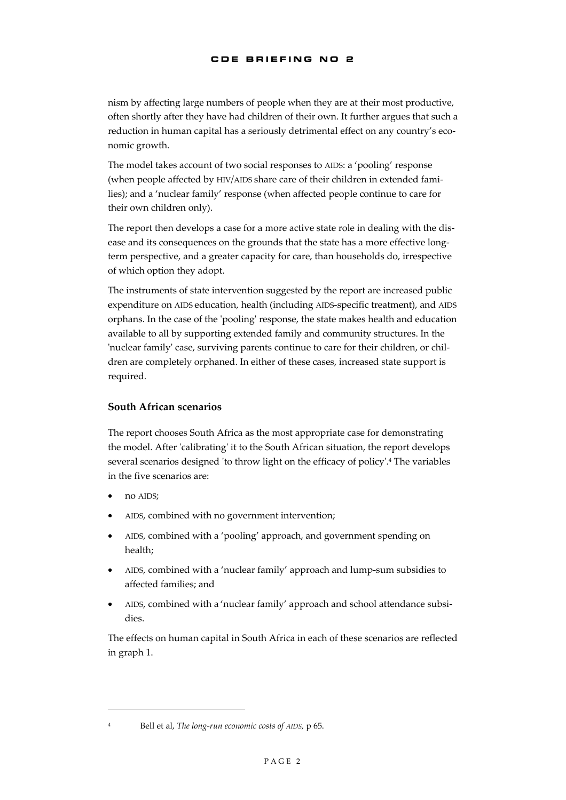nism by affecting large numbers of people when they are at their most productive, often shortly after they have had children of their own. It further argues that such a reduction in human capital has a seriously detrimental effect on any country's economic growth.

The model takes account of two social responses to AIDS: a 'pooling' response (when people affected by HIV/AIDS share care of their children in extended families); and a 'nuclear family' response (when affected people continue to care for their own children only).

The report then develops a case for a more active state role in dealing with the disease and its consequences on the grounds that the state has a more effective longterm perspective, and a greater capacity for care, than households do, irrespective of which option they adopt.

The instruments of state intervention suggested by the report are increased public expenditure on AIDS education, health (including AIDS-specific treatment), and AIDS orphans. In the case of the 'pooling' response, the state makes health and education available to all by supporting extended family and community structures. In the 'nuclear family' case, surviving parents continue to care for their children, or children are completely orphaned. In either of these cases, increased state support is required.

### **South African scenarios**

The report chooses South Africa as the most appropriate case for demonstrating the model. After 'calibrating' it to the South African situation, the report develops several scenarios designed 'to throw light on the efficacy of policy'.[4](#page-1-0) The variables in the five scenarios are:

- no AIDS;
- AIDS, combined with no government intervention;
- AIDS, combined with a 'pooling' approach, and government spending on health;
- AIDS, combined with a 'nuclear family' approach and lump-sum subsidies to affected families; and
- AIDS, combined with a 'nuclear family' approach and school attendance subsidies.

The effects on human capital in South Africa in each of these scenarios are reflected in graph 1.

 $\overline{a}$ 

<span id="page-1-0"></span><sup>4</sup> Bell et al, *The long-run economic costs of AIDS,* p 65.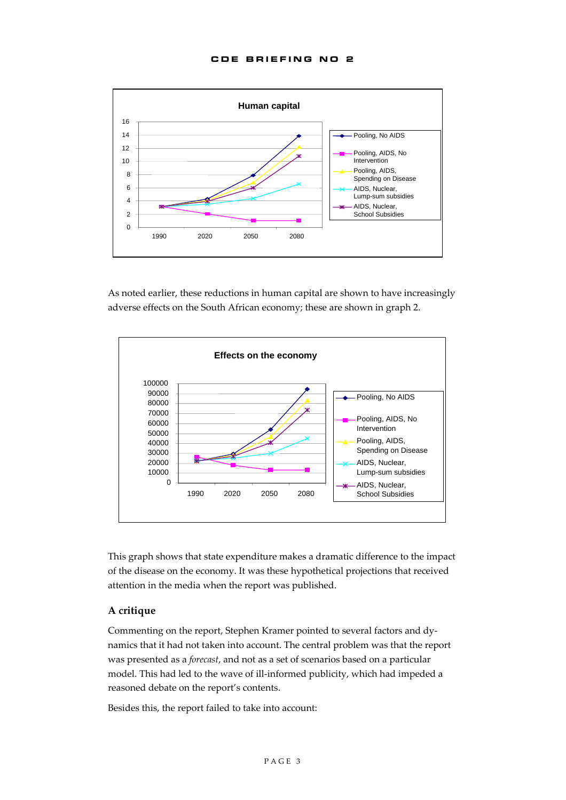

As noted earlier, these reductions in human capital are shown to have increasingly adverse effects on the South African economy; these are shown in graph 2.



This graph shows that state expenditure makes a dramatic difference to the impact of the disease on the economy. It was these hypothetical projections that received attention in the media when the report was published.

#### **A critique**

Commenting on the report, Stephen Kramer pointed to several factors and dynamics that it had not taken into account. The central problem was that the report was presented as a *forecast*, and not as a set of scenarios based on a particular model. This had led to the wave of ill-informed publicity, which had impeded a reasoned debate on the report's contents.

Besides this, the report failed to take into account: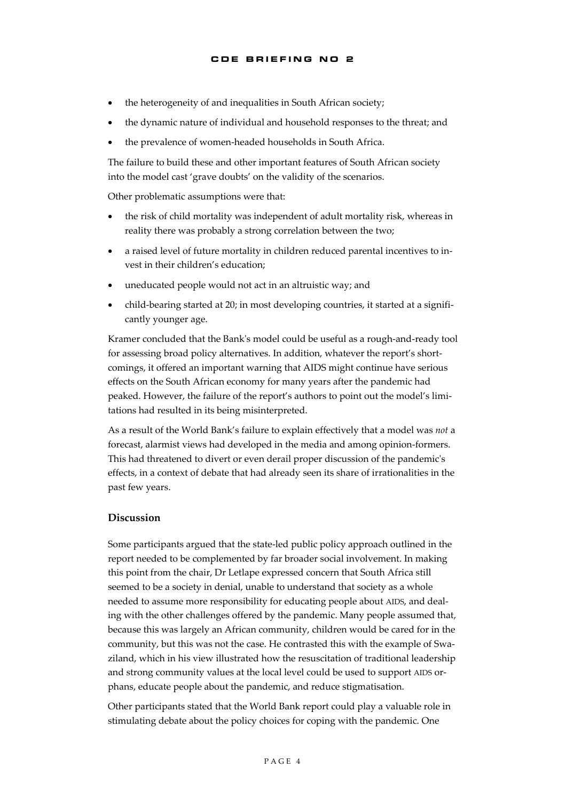- the heterogeneity of and inequalities in South African society;
- the dynamic nature of individual and household responses to the threat; and
- the prevalence of women-headed households in South Africa.

The failure to build these and other important features of South African society into the model cast 'grave doubts' on the validity of the scenarios.

Other problematic assumptions were that:

- the risk of child mortality was independent of adult mortality risk, whereas in reality there was probably a strong correlation between the two;
- a raised level of future mortality in children reduced parental incentives to invest in their children's education;
- uneducated people would not act in an altruistic way; and
- child-bearing started at 20; in most developing countries, it started at a significantly younger age.

Kramer concluded that the Bank's model could be useful as a rough-and-ready tool for assessing broad policy alternatives. In addition, whatever the report's shortcomings, it offered an important warning that AIDS might continue have serious effects on the South African economy for many years after the pandemic had peaked. However, the failure of the report's authors to point out the model's limitations had resulted in its being misinterpreted.

As a result of the World Bank's failure to explain effectively that a model was *not* a forecast, alarmist views had developed in the media and among opinion-formers. This had threatened to divert or even derail proper discussion of the pandemic's effects, in a context of debate that had already seen its share of irrationalities in the past few years.

#### **Discussion**

Some participants argued that the state-led public policy approach outlined in the report needed to be complemented by far broader social involvement. In making this point from the chair, Dr Letlape expressed concern that South Africa still seemed to be a society in denial, unable to understand that society as a whole needed to assume more responsibility for educating people about AIDS, and dealing with the other challenges offered by the pandemic. Many people assumed that, because this was largely an African community, children would be cared for in the community, but this was not the case. He contrasted this with the example of Swaziland, which in his view illustrated how the resuscitation of traditional leadership and strong community values at the local level could be used to support AIDS orphans, educate people about the pandemic, and reduce stigmatisation.

Other participants stated that the World Bank report could play a valuable role in stimulating debate about the policy choices for coping with the pandemic. One